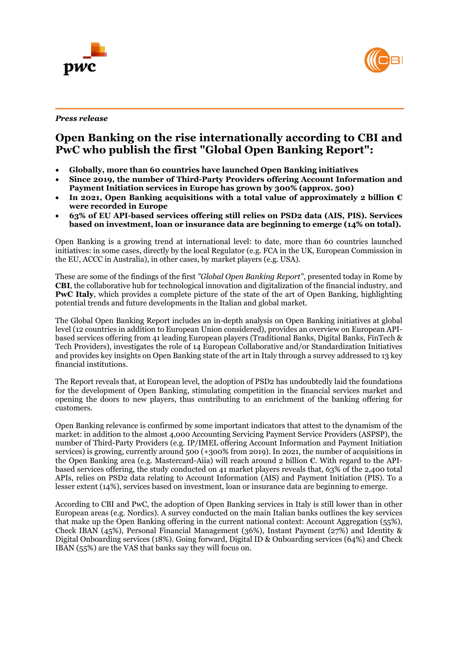



*Press release*

# **Open Banking on the rise internationally according to CBI and PwC who publish the first "Global Open Banking Report":**

- **Globally, more than 60 countries have launched Open Banking initiatives**
- **Since 2019, the number of Third-Party Providers offering Account Information and Payment Initiation services in Europe has grown by 300% (approx. 500)**
- **In 2021, Open Banking acquisitions with a total value of approximately 2 billion € were recorded in Europe**
- **63% of EU API-based services offering still relies on PSD2 data (AIS, PIS). Services based on investment, loan or insurance data are beginning to emerge (14% on total).**

Open Banking is a growing trend at international level: to date, more than 60 countries launched initiatives: in some cases, directly by the local Regulator (e.g. FCA in the UK, European Commission in the EU, ACCC in Australia), in other cases, by market players (e.g. USA).

These are some of the findings of the first *"Global Open Banking Report"*, presented today in Rome by **CBI**, the collaborative hub for technological innovation and digitalization of the financial industry, and PwC Italy, which provides a complete picture of the state of the art of Open Banking, highlighting potential trends and future developments in the Italian and global market.

The Global Open Banking Report includes an in-depth analysis on Open Banking initiatives at global level (12 countries in addition to European Union considered), provides an overview on European APIbased services offering from 41 leading European players (Traditional Banks, Digital Banks, FinTech & Tech Providers), investigates the role of 14 European Collaborative and/or Standardization Initiatives and provides key insights on Open Banking state of the art in Italy through a survey addressed to 13 key financial institutions.

The Report reveals that, at European level, the adoption of PSD2 has undoubtedly laid the foundations for the development of Open Banking, stimulating competition in the financial services market and opening the doors to new players, thus contributing to an enrichment of the banking offering for customers.

Open Banking relevance is confirmed by some important indicators that attest to the dynamism of the market: in addition to the almost 4,000 Accounting Servicing Payment Service Providers (ASPSP), the number of Third-Party Providers (e.g. IP/IMEL offering Account Information and Payment Initiation services) is growing, currently around 500 (+300% from 2019). In 2021, the number of acquisitions in the Open Banking area (e.g. Mastercard-Aiia) will reach around 2 billion €. With regard to the APIbased services offering, the study conducted on 41 market players reveals that, 63% of the 2,400 total APIs, relies on PSD2 data relating to Account Information (AIS) and Payment Initiation (PIS). To a lesser extent (14%), services based on investment, loan or insurance data are beginning to emerge.

According to CBI and PwC, the adoption of Open Banking services in Italy is still lower than in other European areas (e.g. Nordics). A survey conducted on the main Italian banks outlines the key services that make up the Open Banking offering in the current national context: Account Aggregation (55%), Check IBAN (45%), Personal Financial Management (36%), Instant Payment (27%) and Identity & Digital Onboarding services (18%). Going forward, Digital ID & Onboarding services (64%) and Check IBAN (55%) are the VAS that banks say they will focus on.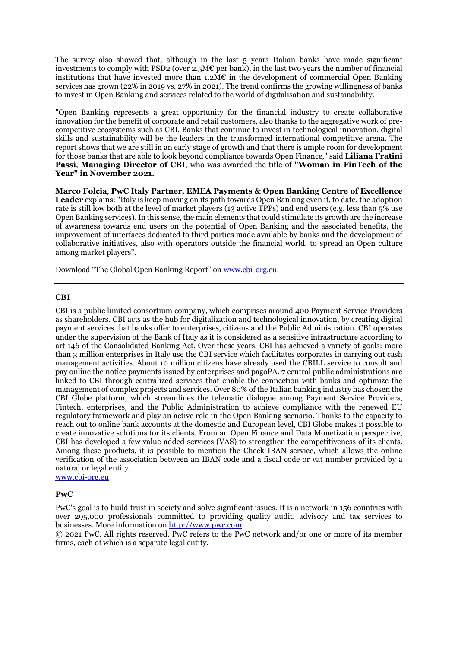The survey also showed that, although in the last 5 years Italian banks have made significant investments to comply with PSD2 (over 2.5M $\epsilon$  per bank), in the last two years the number of financial institutions that have invested more than  $1.2\text{M}\text{C}$  in the development of commercial Open Banking services has grown (22% in 2019 vs. 27% in 2021). The trend confirms the growing willingness of banks to invest in Open Banking and services related to the world of digitalisation and sustainability.

"Open Banking represents a great opportunity for the financial industry to create collaborative innovation for the benefit of corporate and retail customers, also thanks to the aggregative work of precompetitive ecosystems such as CBI. Banks that continue to invest in technological innovation, digital skills and sustainability will be the leaders in the transformed international competitive arena. The report shows that we are still in an early stage of growth and that there is ample room for development for those banks that are able to look beyond compliance towards Open Finance," said **Liliana Fratini Passi**, **Managing Director of CBI**, who was awarded the title of **"Woman in FinTech of the Year" in November 2021.**

**Marco Folcia**, **PwC Italy Partner, EMEA Payments & Open Banking Centre of Excellence Leader** explains: "Italy is keep moving on its path towards Open Banking even if, to date, the adoption rate is still low both at the level of market players (13 active TPPs) and end users (e.g. less than  $5\%$  use Open Banking services). In this sense, the main elements that could stimulate its growth are the increase of awareness towards end users on the potential of Open Banking and the associated benefits, the improvement of interfaces dedicated to third parties made available by banks and the development of collaborative initiatives, also with operators outside the financial world, to spread an Open culture among market players".

Download "The Global Open Banking Report" o[n www.cbi-org.eu.](http://www.cbi-org.eu/)

## **CBI**

CBI is a public limited consortium company, which comprises around 400 Payment Service Providers as shareholders. CBI acts as the hub for digitalization and technological innovation, by creating digital payment services that banks offer to enterprises, citizens and the Public Administration. CBI operates under the supervision of the Bank of Italy as it is considered as a sensitive infrastructure according to art 146 of the Consolidated Banking Act. Over these years, CBI has achieved a variety of goals: more than 3 million enterprises in Italy use the CBI service which facilitates corporates in carrying out cash management activities. About 10 million citizens have already used the CBILL service to consult and pay online the notice payments issued by enterprises and pagoPA. 7 central public administrations are linked to CBI through centralized services that enable the connection with banks and optimize the management of complex projects and services. Over 80% of the Italian banking industry has chosen the CBI Globe platform, which streamlines the telematic dialogue among Payment Service Providers, Fintech, enterprises, and the Public Administration to achieve compliance with the renewed EU regulatory framework and play an active role in the Open Banking scenario. Thanks to the capacity to reach out to online bank accounts at the domestic and European level, CBI Globe makes it possible to create innovative solutions for its clients. From an Open Finance and Data Monetization perspective, CBI has developed a few value-added services (VAS) to strengthen the competitiveness of its clients. Among these products, it is possible to mention the Check IBAN service, which allows the online verification of the association between an IBAN code and a fiscal code or vat number provided by a natural or legal entity.

[www.cbi-org.eu](http://www.cbi-org.eu/)

#### **PwC**

PwC's goal is to build trust in society and solve significant issues. It is a network in 156 countries with over 295,000 professionals committed to providing quality audit, advisory and tax services to businesses. More information on [http://www.pwc.com](http://www.pwc.com/)

© 2021 PwC. All rights reserved. PwC refers to the PwC network and/or one or more of its member firms, each of which is a separate legal entity.